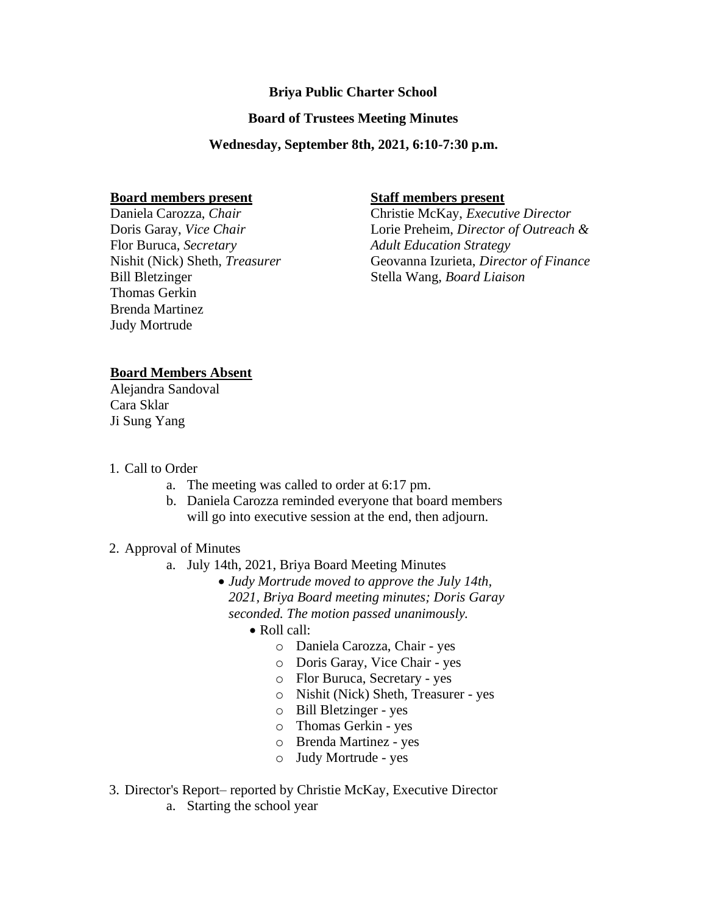# **Briya Public Charter School**

## **Board of Trustees Meeting Minutes**

### **Wednesday, September 8th, 2021, 6:10-7:30 p.m.**

#### **Board members present**

Daniela Carozza, *Chair* Doris Garay, *Vice Chair* Flor Buruca, *Secretary* Nishit (Nick) Sheth, *Treasurer* Bill Bletzinger Thomas Gerkin Brenda Martinez Judy Mortrude

## **Staff members present**

Christie McKay, *Executive Director* Lorie Preheim, *Director of Outreach & Adult Education Strategy*  Geovanna Izurieta, *Director of Finance* Stella Wang, *Board Liaison*

# **Board Members Absent**

Alejandra Sandoval Cara Sklar Ji Sung Yang

- 1. Call to Order
	- a. The meeting was called to order at 6:17 pm.
	- b. Daniela Carozza reminded everyone that board members will go into executive session at the end, then adjourn.

## 2. Approval of Minutes

- a. July 14th, 2021, Briya Board Meeting Minutes
	- *Judy Mortrude moved to approve the July 14th, 2021, Briya Board meeting minutes; Doris Garay seconded. The motion passed unanimously.*
		- Roll call:
			- o Daniela Carozza, Chair *-* yes
			- o Doris Garay, Vice Chair *-* yes
			- o Flor Buruca, Secretary *-* yes
			- o Nishit (Nick) Sheth, Treasurer *-* yes
			- o Bill Bletzinger yes
			- o Thomas Gerkin yes
			- o Brenda Martinez yes
			- o Judy Mortrude yes
- 3. Director's Report– reported by Christie McKay, Executive Director
	- a. Starting the school year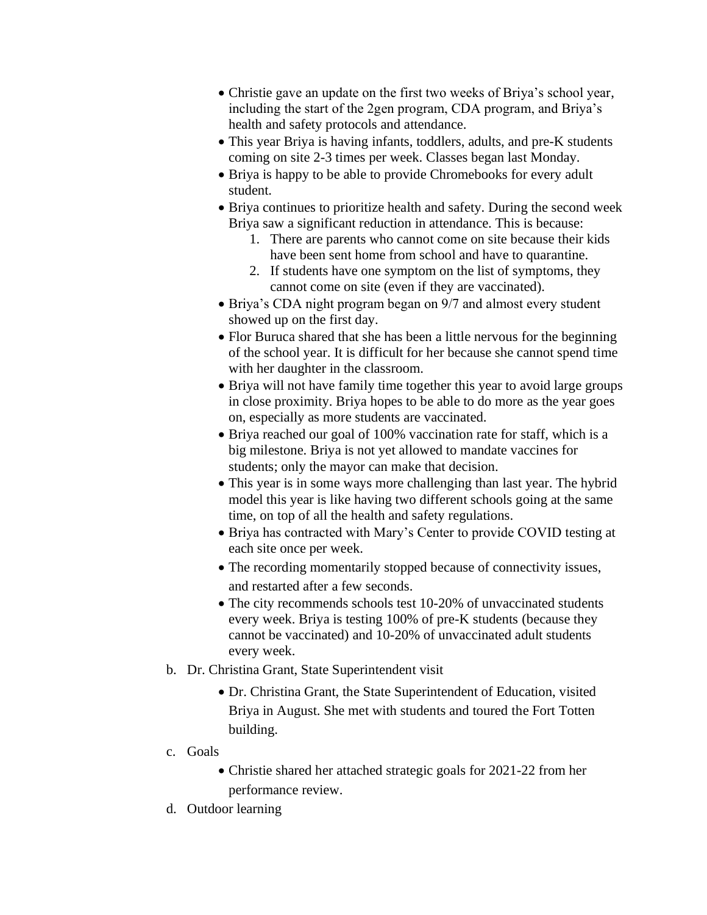- Christie gave an update on the first two weeks of Briya's school year, including the start of the 2gen program, CDA program, and Briya's health and safety protocols and attendance.
- This year Briya is having infants, toddlers, adults, and pre-K students coming on site 2-3 times per week. Classes began last Monday.
- Briya is happy to be able to provide Chromebooks for every adult student.
- Briya continues to prioritize health and safety. During the second week Briya saw a significant reduction in attendance. This is because:
	- 1. There are parents who cannot come on site because their kids have been sent home from school and have to quarantine.
	- 2. If students have one symptom on the list of symptoms, they cannot come on site (even if they are vaccinated).
- Briya's CDA night program began on 9/7 and almost every student showed up on the first day.
- Flor Buruca shared that she has been a little nervous for the beginning of the school year. It is difficult for her because she cannot spend time with her daughter in the classroom.
- Briya will not have family time together this year to avoid large groups in close proximity. Briya hopes to be able to do more as the year goes on, especially as more students are vaccinated.
- Briya reached our goal of 100% vaccination rate for staff, which is a big milestone. Briya is not yet allowed to mandate vaccines for students; only the mayor can make that decision.
- This year is in some ways more challenging than last year. The hybrid model this year is like having two different schools going at the same time, on top of all the health and safety regulations.
- Briya has contracted with Mary's Center to provide COVID testing at each site once per week.
- The recording momentarily stopped because of connectivity issues, and restarted after a few seconds.
- The city recommends schools test 10-20% of unvaccinated students every week. Briya is testing 100% of pre-K students (because they cannot be vaccinated) and 10-20% of unvaccinated adult students every week.
- b. Dr. Christina Grant, State Superintendent visit
	- Dr. Christina Grant, the State Superintendent of Education, visited Briya in August. She met with students and toured the Fort Totten building.
- c. Goals
	- Christie shared her attached strategic goals for 2021-22 from her performance review.
- d. Outdoor learning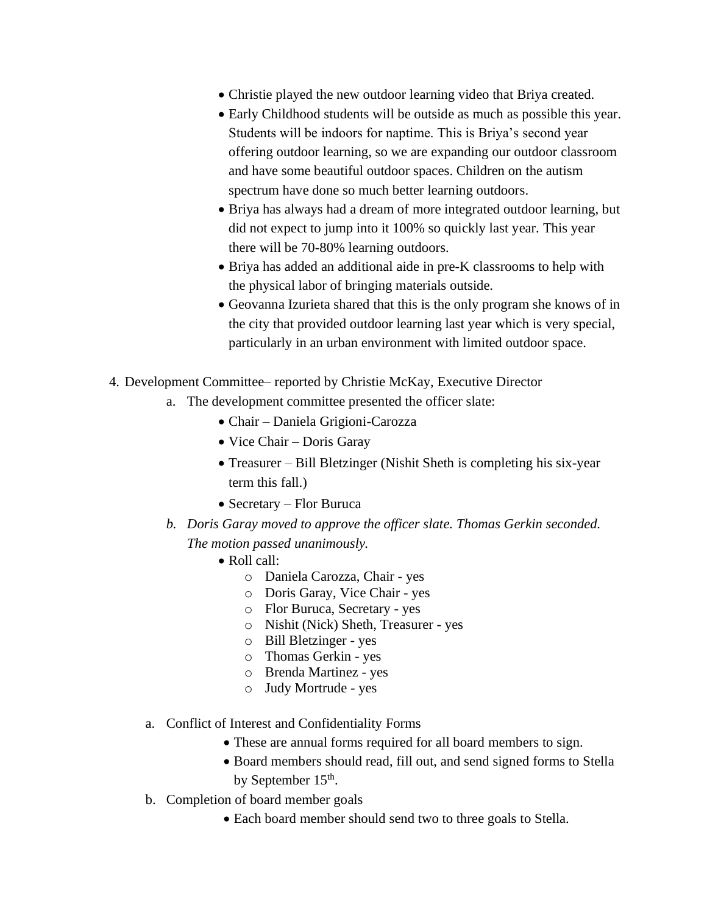- Christie played the new outdoor learning video that Briya created.
- Early Childhood students will be outside as much as possible this year. Students will be indoors for naptime. This is Briya's second year offering outdoor learning, so we are expanding our outdoor classroom and have some beautiful outdoor spaces. Children on the autism spectrum have done so much better learning outdoors.
- Briya has always had a dream of more integrated outdoor learning, but did not expect to jump into it 100% so quickly last year. This year there will be 70-80% learning outdoors.
- Briya has added an additional aide in pre-K classrooms to help with the physical labor of bringing materials outside.
- Geovanna Izurieta shared that this is the only program she knows of in the city that provided outdoor learning last year which is very special, particularly in an urban environment with limited outdoor space.
- 4. Development Committee– reported by Christie McKay, Executive Director
	- a. The development committee presented the officer slate:
		- Chair Daniela Grigioni-Carozza
		- Vice Chair Doris Garay
		- Treasurer Bill Bletzinger (Nishit Sheth is completing his six-year term this fall.)
		- Secretary Flor Buruca
	- *b. Doris Garay moved to approve the officer slate. Thomas Gerkin seconded. The motion passed unanimously.*
		- Roll call:
			- o Daniela Carozza, Chair *-* yes
			- o Doris Garay, Vice Chair *-* yes
			- o Flor Buruca, Secretary *-* yes
			- o Nishit (Nick) Sheth, Treasurer *-* yes
			- o Bill Bletzinger yes
			- o Thomas Gerkin yes
			- o Brenda Martinez yes
			- o Judy Mortrude yes
	- a. Conflict of Interest and Confidentiality Forms
		- These are annual forms required for all board members to sign.
		- Board members should read, fill out, and send signed forms to Stella by September 15<sup>th</sup>.
	- b. Completion of board member goals
		- Each board member should send two to three goals to Stella.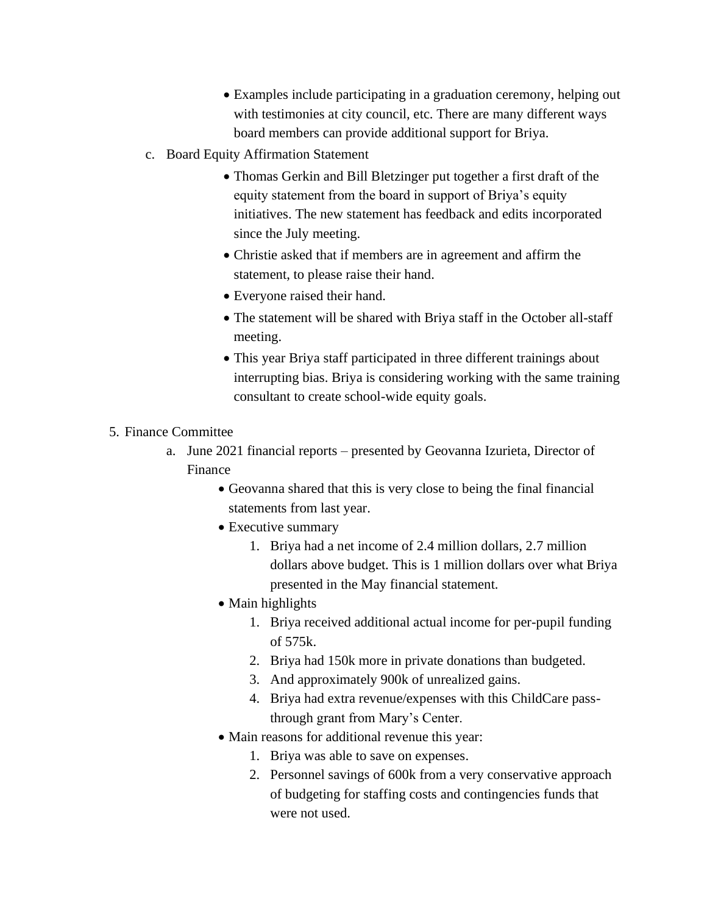- Examples include participating in a graduation ceremony, helping out with testimonies at city council, etc. There are many different ways board members can provide additional support for Briya.
- c. Board Equity Affirmation Statement
	- Thomas Gerkin and Bill Bletzinger put together a first draft of the equity statement from the board in support of Briya's equity initiatives. The new statement has feedback and edits incorporated since the July meeting.
	- Christie asked that if members are in agreement and affirm the statement, to please raise their hand.
	- Everyone raised their hand.
	- The statement will be shared with Briya staff in the October all-staff meeting.
	- This year Briya staff participated in three different trainings about interrupting bias. Briya is considering working with the same training consultant to create school-wide equity goals.
- 5. Finance Committee
	- a. June 2021 financial reports presented by Geovanna Izurieta, Director of Finance
		- Geovanna shared that this is very close to being the final financial statements from last year.
		- Executive summary
			- 1. Briya had a net income of 2.4 million dollars, 2.7 million dollars above budget. This is 1 million dollars over what Briya presented in the May financial statement.
		- Main highlights
			- 1. Briya received additional actual income for per-pupil funding of 575k.
			- 2. Briya had 150k more in private donations than budgeted.
			- 3. And approximately 900k of unrealized gains.
			- 4. Briya had extra revenue/expenses with this ChildCare passthrough grant from Mary's Center.
		- Main reasons for additional revenue this year:
			- 1. Briya was able to save on expenses.
			- 2. Personnel savings of 600k from a very conservative approach of budgeting for staffing costs and contingencies funds that were not used.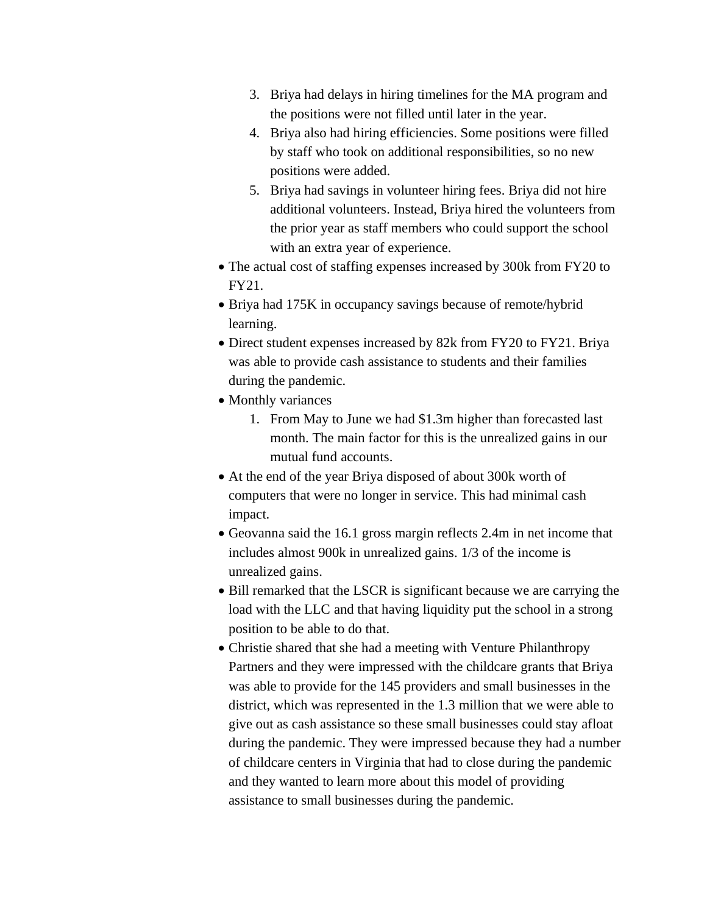- 3. Briya had delays in hiring timelines for the MA program and the positions were not filled until later in the year.
- 4. Briya also had hiring efficiencies. Some positions were filled by staff who took on additional responsibilities, so no new positions were added.
- 5. Briya had savings in volunteer hiring fees. Briya did not hire additional volunteers. Instead, Briya hired the volunteers from the prior year as staff members who could support the school with an extra year of experience.
- The actual cost of staffing expenses increased by 300k from FY20 to FY21.
- Briya had 175K in occupancy savings because of remote/hybrid learning.
- Direct student expenses increased by 82k from FY20 to FY21. Briya was able to provide cash assistance to students and their families during the pandemic.
- Monthly variances
	- 1. From May to June we had \$1.3m higher than forecasted last month. The main factor for this is the unrealized gains in our mutual fund accounts.
- At the end of the year Briya disposed of about 300k worth of computers that were no longer in service. This had minimal cash impact.
- Geovanna said the 16.1 gross margin reflects 2.4m in net income that includes almost 900k in unrealized gains. 1/3 of the income is unrealized gains.
- Bill remarked that the LSCR is significant because we are carrying the load with the LLC and that having liquidity put the school in a strong position to be able to do that.
- Christie shared that she had a meeting with Venture Philanthropy Partners and they were impressed with the childcare grants that Briya was able to provide for the 145 providers and small businesses in the district, which was represented in the 1.3 million that we were able to give out as cash assistance so these small businesses could stay afloat during the pandemic. They were impressed because they had a number of childcare centers in Virginia that had to close during the pandemic and they wanted to learn more about this model of providing assistance to small businesses during the pandemic.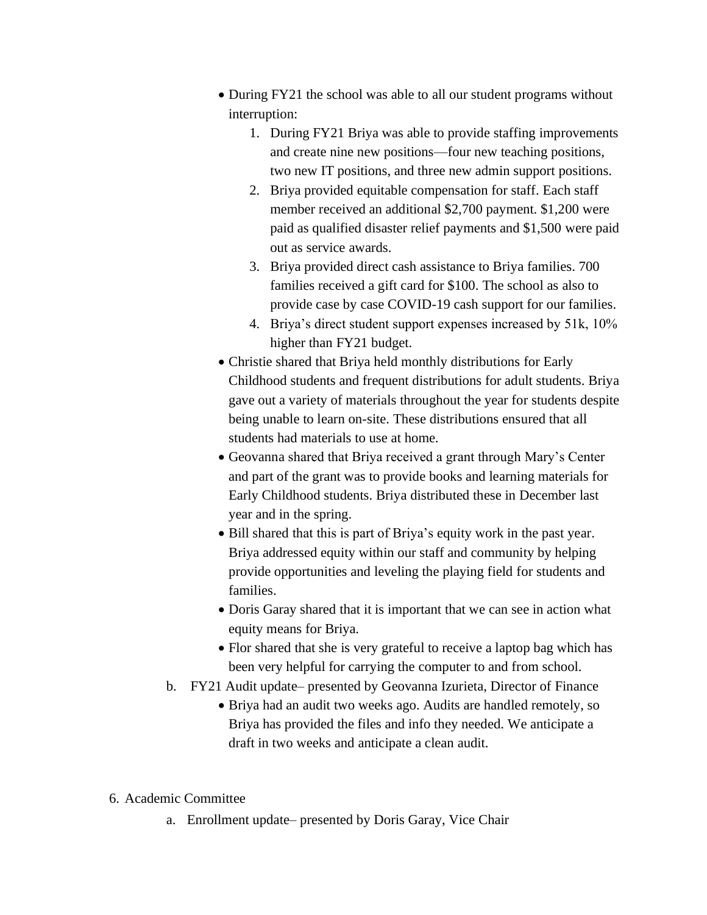- During FY21 the school was able to all our student programs without interruption:
	- 1. During FY21 Briya was able to provide staffing improvements and create nine new positions—four new teaching positions, two new IT positions, and three new admin support positions.
	- 2. Briya provided equitable compensation for staff. Each staff member received an additional \$2,700 payment. \$1,200 were paid as qualified disaster relief payments and \$1,500 were paid out as service awards.
	- 3. Briya provided direct cash assistance to Briya families. 700 families received a gift card for \$100. The school as also to provide case by case COVID-19 cash support for our families.
	- 4. Briya's direct student support expenses increased by 51k, 10% higher than FY21 budget.
- Christie shared that Briya held monthly distributions for Early Childhood students and frequent distributions for adult students. Briya gave out a variety of materials throughout the year for students despite being unable to learn on-site. These distributions ensured that all students had materials to use at home.
- Geovanna shared that Briya received a grant through Mary's Center and part of the grant was to provide books and learning materials for Early Childhood students. Briya distributed these in December last year and in the spring.
- Bill shared that this is part of Briya's equity work in the past year. Briya addressed equity within our staff and community by helping provide opportunities and leveling the playing field for students and families.
- Doris Garay shared that it is important that we can see in action what equity means for Briya.
- Flor shared that she is very grateful to receive a laptop bag which has been very helpful for carrying the computer to and from school.
- b. FY21 Audit update– presented by Geovanna Izurieta, Director of Finance
	- Briya had an audit two weeks ago. Audits are handled remotely, so Briya has provided the files and info they needed. We anticipate a draft in two weeks and anticipate a clean audit.
- 6. Academic Committee
	- a. Enrollment update– presented by Doris Garay, Vice Chair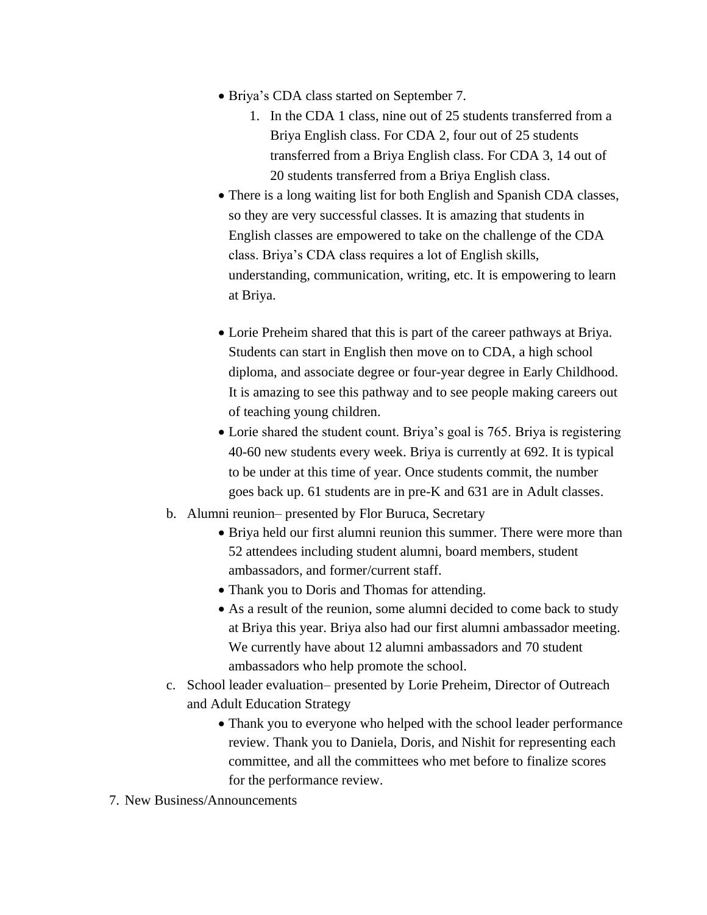- Briya's CDA class started on September 7.
	- 1. In the CDA 1 class, nine out of 25 students transferred from a Briya English class. For CDA 2, four out of 25 students transferred from a Briya English class. For CDA 3, 14 out of 20 students transferred from a Briya English class.
- There is a long waiting list for both English and Spanish CDA classes, so they are very successful classes. It is amazing that students in English classes are empowered to take on the challenge of the CDA class. Briya's CDA class requires a lot of English skills, understanding, communication, writing, etc. It is empowering to learn at Briya.
- Lorie Preheim shared that this is part of the career pathways at Briya. Students can start in English then move on to CDA, a high school diploma, and associate degree or four-year degree in Early Childhood. It is amazing to see this pathway and to see people making careers out of teaching young children.
- Lorie shared the student count. Briya's goal is 765. Briya is registering 40-60 new students every week. Briya is currently at 692. It is typical to be under at this time of year. Once students commit, the number goes back up. 61 students are in pre-K and 631 are in Adult classes.
- b. Alumni reunion– presented by Flor Buruca, Secretary
	- Briya held our first alumni reunion this summer. There were more than 52 attendees including student alumni, board members, student ambassadors, and former/current staff.
	- Thank you to Doris and Thomas for attending.
	- As a result of the reunion, some alumni decided to come back to study at Briya this year. Briya also had our first alumni ambassador meeting. We currently have about 12 alumni ambassadors and 70 student ambassadors who help promote the school.
- c. School leader evaluation– presented by Lorie Preheim, Director of Outreach and Adult Education Strategy
	- Thank you to everyone who helped with the school leader performance review. Thank you to Daniela, Doris, and Nishit for representing each committee, and all the committees who met before to finalize scores for the performance review.
- 7. New Business/Announcements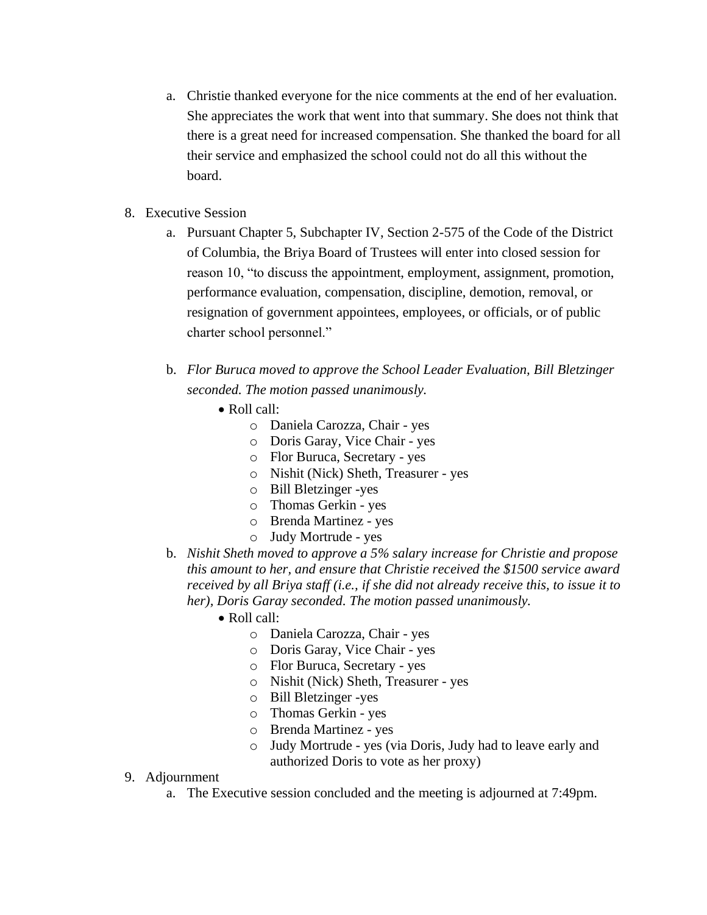- a. Christie thanked everyone for the nice comments at the end of her evaluation. She appreciates the work that went into that summary. She does not think that there is a great need for increased compensation. She thanked the board for all their service and emphasized the school could not do all this without the board.
- 8. Executive Session
	- a. Pursuant Chapter 5, Subchapter IV, Section 2-575 of the Code of the District of Columbia, the Briya Board of Trustees will enter into closed session for reason 10, "to discuss the appointment, employment, assignment, promotion, performance evaluation, compensation, discipline, demotion, removal, or resignation of government appointees, employees, or officials, or of public charter school personnel."
	- b. *Flor Buruca moved to approve the School Leader Evaluation, Bill Bletzinger seconded. The motion passed unanimously.*
		- Roll call:
			- o Daniela Carozza, Chair *-* yes
			- o Doris Garay, Vice Chair *-* yes
			- o Flor Buruca, Secretary *-* yes
			- o Nishit (Nick) Sheth, Treasurer *-* yes
			- o Bill Bletzinger -yes
			- o Thomas Gerkin yes
			- o Brenda Martinez yes
			- o Judy Mortrude yes
	- b. *Nishit Sheth moved to approve a 5% salary increase for Christie and propose this amount to her, and ensure that Christie received the \$1500 service award received by all Briya staff (i.e., if she did not already receive this, to issue it to her), Doris Garay seconded. The motion passed unanimously.* 
		- Roll call:
			- o Daniela Carozza, Chair *-* yes
			- o Doris Garay, Vice Chair *-* yes
			- o Flor Buruca, Secretary *-* yes
			- o Nishit (Nick) Sheth, Treasurer *-* yes
			- o Bill Bletzinger -yes
			- o Thomas Gerkin yes
			- o Brenda Martinez yes
			- o Judy Mortrude yes (via Doris, Judy had to leave early and authorized Doris to vote as her proxy)
- 9. Adjournment
	- a. The Executive session concluded and the meeting is adjourned at 7:49pm.